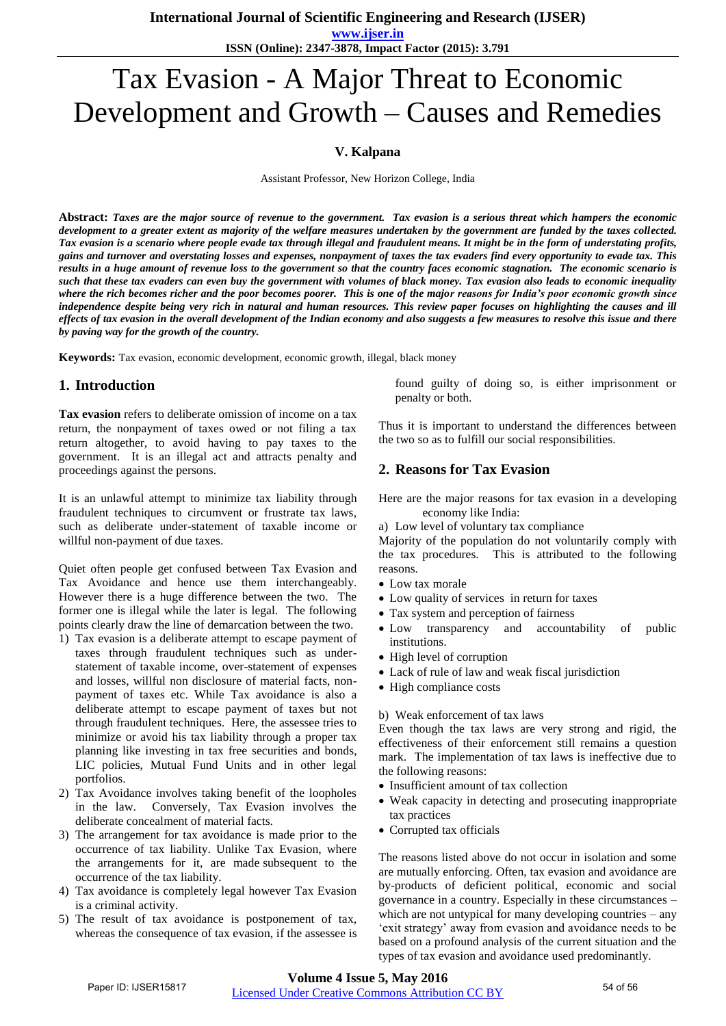**International Journal of Scientific Engineering and Research (IJSER)** 

**www.ijser.in ISSN (Online): 2347-3878, Impact Factor (2015): 3.791**

# Tax Evasion - A Major Threat to Economic Development and Growth – Causes and Remedies

### **V. Kalpana**

Assistant Professor, New Horizon College, India

**Abstract:** *Taxes are the major source of revenue to the government. Tax evasion is a serious threat which hampers the economic development to a greater extent as majority of the welfare measures undertaken by the government are funded by the taxes collected. Tax evasion is a scenario where people evade tax through illegal and fraudulent means. It might be in the form of understating profits, gains and turnover and overstating losses and expenses, nonpayment of taxes the tax evaders find every opportunity to evade tax. This results in a huge amount of revenue loss to the government so that the country faces economic stagnation. The economic scenario is such that these tax evaders can even buy the government with volumes of black money. Tax evasion also leads to economic inequality where the rich becomes richer and the poor becomes poorer. This is one of the major reasons for India's poor economic growth since independence despite being very rich in natural and human resources. This review paper focuses on highlighting the causes and ill effects of tax evasion in the overall development of the Indian economy and also suggests a few measures to resolve this issue and there by paving way for the growth of the country.* 

**Keywords:** Tax evasion, economic development, economic growth, illegal, black money

### **1. Introduction**

**Tax evasion** refers to deliberate omission of income on a tax return, the nonpayment of taxes owed or not filing a tax return altogether, to avoid having to pay taxes to the government. It is an illegal act and attracts penalty and proceedings against the persons.

It is an unlawful attempt to minimize tax liability through fraudulent techniques to circumvent or frustrate tax laws, such as deliberate under-statement of taxable income or willful non-payment of due taxes.

Quiet often people get confused between Tax Evasion and Tax Avoidance and hence use them interchangeably. However there is a huge difference between the two. The former one is illegal while the later is legal. The following points clearly draw the line of demarcation between the two.

- 1) Tax evasion is a deliberate attempt to escape payment of taxes through fraudulent techniques such as understatement of taxable income, over-statement of expenses and losses, willful non disclosure of material facts, nonpayment of taxes etc. While Tax avoidance is also a deliberate attempt to escape payment of taxes but not through fraudulent techniques. Here, the assessee tries to minimize or avoid his tax liability through a proper tax planning like investing in tax free securities and bonds, LIC policies, Mutual Fund Units and in other legal portfolios.
- 2) Tax Avoidance involves taking benefit of the loopholes in the law. Conversely, Tax Evasion involves the deliberate concealment of material facts.
- 3) The arrangement for tax avoidance is made prior to the occurrence of tax liability. Unlike Tax Evasion, where the arrangements for it, are made subsequent to the occurrence of the tax liability.
- 4) Tax avoidance is completely legal however Tax Evasion is a criminal activity.
- 5) The result of tax avoidance is postponement of tax, whereas the consequence of tax evasion, if the assessee is

found guilty of doing so, is either imprisonment or penalty or both.

Thus it is important to understand the differences between the two so as to fulfill our social responsibilities.

### **2. Reasons for Tax Evasion**

Here are the major reasons for tax evasion in a developing economy like India:

a) Low level of voluntary tax compliance

Majority of the population do not voluntarily comply with the tax procedures. This is attributed to the following reasons.

- Low tax morale
- Low quality of services in return for taxes
- Tax system and perception of fairness
- Low transparency and accountability of public institutions.
- High level of corruption
- Lack of rule of law and weak fiscal jurisdiction
- High compliance costs

#### b) Weak enforcement of tax laws

Even though the tax laws are very strong and rigid, the effectiveness of their enforcement still remains a question mark. The implementation of tax laws is ineffective due to the following reasons:

- Insufficient amount of tax collection
- Weak capacity in detecting and prosecuting inappropriate tax practices
- Corrupted tax officials

The reasons listed above do not occur in isolation and some are mutually enforcing. Often, tax evasion and avoidance are by-products of deficient political, economic and social governance in a country. Especially in these circumstances – which are not untypical for many developing countries – any 'exit strategy' away from evasion and avoidance needs to be based on a profound analysis of the current situation and the types of tax evasion and avoidance used predominantly.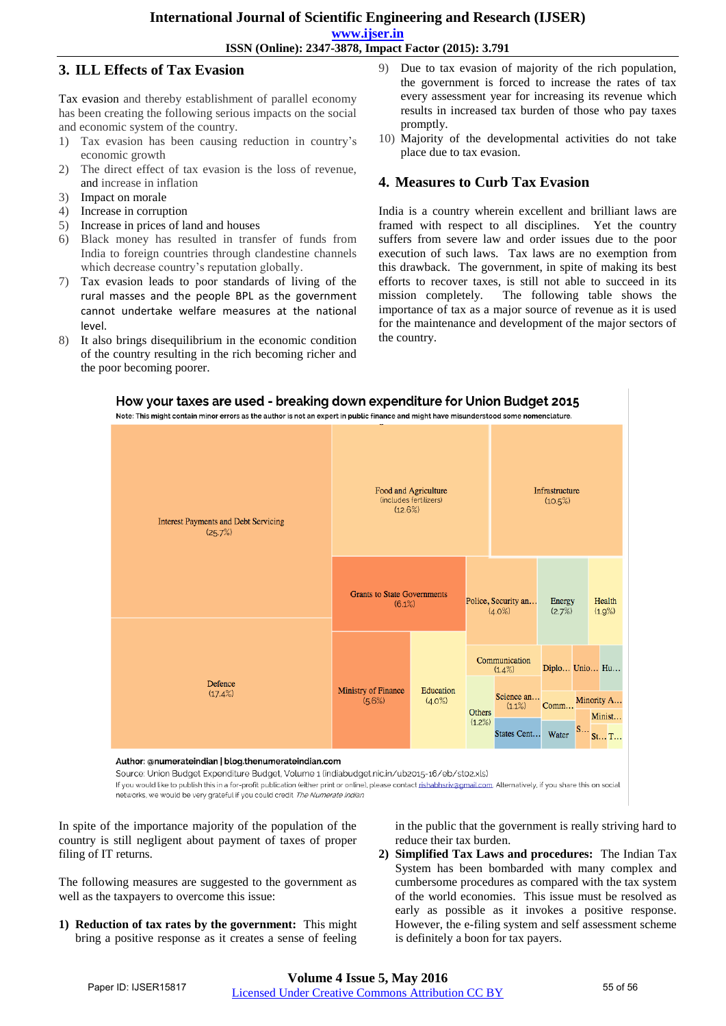# **International Journal of Scientific Engineering and Research (IJSER)**

**www.ijser.in**

**ISSN (Online): 2347-3878, Impact Factor (2015): 3.791**

### **3. ILL Effects of Tax Evasion**

Tax evasion and thereby establishment of parallel economy has been creating the following serious impacts on the social and economic system of the country.

- 1) Tax evasion has been causing reduction in country's economic growth
- 2) The direct effect of tax evasion is the loss of revenue, and increase in inflation
- 3) Impact on morale
- 4) Increase in corruption
- 5) Increase in prices of land and houses
- 6) Black money has resulted in transfer of funds from India to foreign countries through clandestine channels which decrease country's reputation globally.
- 7) Tax evasion leads to poor standards of living of the rural masses and the people BPL as the government cannot undertake welfare measures at the national level.
- 8) It also brings disequilibrium in the economic condition of the country resulting in the rich becoming richer and the poor becoming poorer.
- 9) Due to tax evasion of majority of the rich population, the government is forced to increase the rates of tax every assessment year for increasing its revenue which results in increased tax burden of those who pay taxes promptly.
- 10) Majority of the developmental activities do not take place due to tax evasion.

### **4. Measures to Curb Tax Evasion**

India is a country wherein excellent and brilliant laws are framed with respect to all disciplines. Yet the country suffers from severe law and order issues due to the poor execution of such laws. Tax laws are no exemption from this drawback. The government, in spite of making its best efforts to recover taxes, is still not able to succeed in its mission completely. The following table shows the importance of tax as a major source of revenue as it is used for the maintenance and development of the major sectors of the country.



Author: @numerateindian | blog.thenumerateindian.com

Source: Union Budget Expenditure Budget, Volume 1 (indiabudget.nic.in/ub2015-16/eb/st02.xls)

If you would like to publish this in a for-profit publication (either print or online), please contact rishabhsriv@gmail.com. Alternatively, if you share this on social

networks, we would be very grateful if you could credit The Numerate Indian.

In spite of the importance majority of the population of the country is still negligent about payment of taxes of proper filing of IT returns.

The following measures are suggested to the government as well as the taxpayers to overcome this issue:

**1) Reduction of tax rates by the government:** This might bring a positive response as it creates a sense of feeling in the public that the government is really striving hard to reduce their tax burden.

**2) Simplified Tax Laws and procedures:** The Indian Tax System has been bombarded with many complex and cumbersome procedures as compared with the tax system of the world economies. This issue must be resolved as early as possible as it invokes a positive response. However, the e-filing system and self assessment scheme is definitely a boon for tax payers.